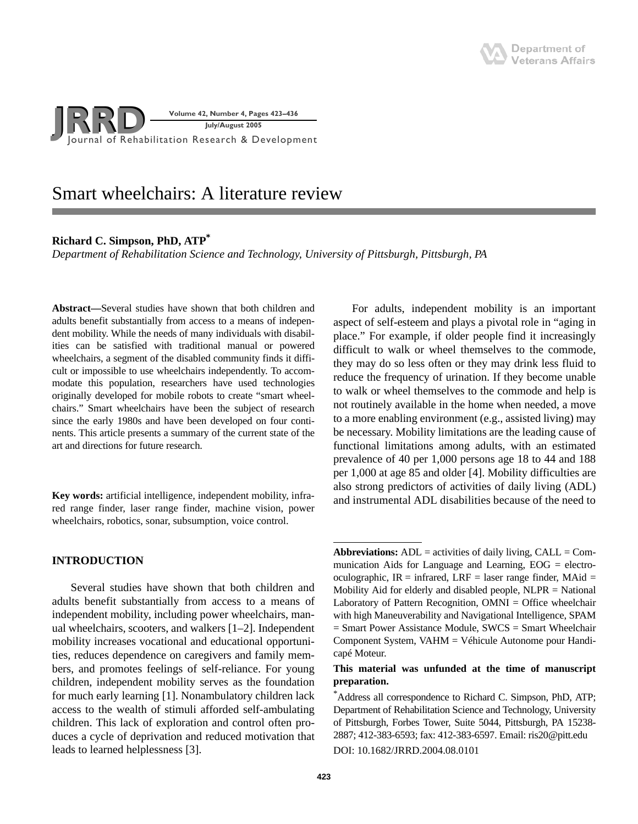

# Smart wheelchairs: A literature review

# **Richard C. Simpson, PhD, ATP\***

*Department of Rehabilitation Science and Technology, University of Pittsburgh, Pittsburgh, PA*

**Abstract—**Several studies have shown that both children and adults benefit substantially from access to a means of independent mobility. While the needs of many individuals with disabilities can be satisfied with traditional manual or powered wheelchairs, a segment of the disabled community finds it difficult or impossible to use wheelchairs independently. To accommodate this population, researchers have used technologies originally developed for mobile robots to create "smart wheelchairs." Smart wheelchairs have been the subject of research since the early 1980s and have been developed on four continents. This article presents a summary of the current state of the art and directions for future research.

**Key words:** artificial intelligence, independent mobility, infrared range finder, laser range finder, machine vision, power wheelchairs, robotics, sonar, subsumption, voice control.

## **INTRODUCTION**

Several studies have shown that both children and adults benefit substantially from access to a means of independent mobility, including power wheelchairs, manual wheelchairs, scooters, and walkers [1–2]. Independent mobility increases vocational and educational opportunities, reduces dependence on caregivers and family members, and promotes feelings of self-reliance. For young children, independent mobility serves as the foundation for much early learning [1]. Nonambulatory children lack access to the wealth of stimuli afforded self-ambulating children. This lack of exploration and control often produces a cycle of deprivation and reduced motivation that leads to learned helplessness [3].

For adults, independent mobility is an important aspect of self-esteem and plays a pivotal role in "aging in place." For example, if older people find it increasingly difficult to walk or wheel themselves to the commode, they may do so less often or they may drink less fluid to reduce the frequency of urination. If they become unable to walk or wheel themselves to the commode and help is not routinely available in the home when needed, a move to a more enabling environment (e.g., assisted living) may be necessary. Mobility limitations are the leading cause of functional limitations among adults, with an estimated prevalence of 40 per 1,000 persons age 18 to 44 and 188 per 1,000 at age 85 and older [4]. Mobility difficulties are also strong predictors of activities of daily living (ADL) and instrumental ADL disabilities because of the need to

**Abbreviations:**  $ADL =$  activities of daily living,  $CALL = Com$ munication Aids for Language and Learning, EOG = electrooculographic,  $IR =$  infrared,  $LRF =$  laser range finder, MAid = Mobility Aid for elderly and disabled people, NLPR = National Laboratory of Pattern Recognition, OMNI = Office wheelchair with high Maneuverability and Navigational Intelligence, SPAM = Smart Power Assistance Module, SWCS = Smart Wheelchair Component System, VAHM = Véhicule Autonome pour Handicapé Moteur.

## **This material was unfunded at the time of manuscript preparation.**

DOI: 10.1682/JRRD.2004.08.0101

<sup>\*</sup> Address all correspondence to Richard C. Simpson, PhD, ATP; Department of Rehabilitation Science and Technology, University of Pittsburgh, Forbes Tower, Suite 5044, Pittsburgh, PA 15238- 2887; 412-383-6593; fax: 412-383-6597. Email: ris20@pitt.edu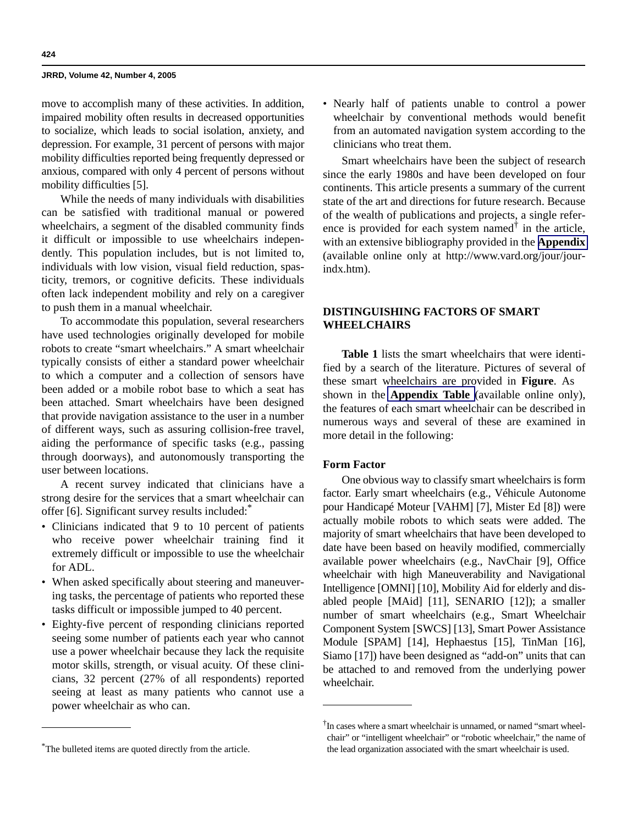move to accomplish many of these activities. In addition, impaired mobility often results in decreased opportunities to socialize, which leads to social isolation, anxiety, and depression. For example, 31 percent of persons with major mobility difficulties reported being frequently depressed or anxious, compared with only 4 percent of persons without mobility difficulties [5].

While the needs of many individuals with disabilities can be satisfied with traditional manual or powered wheelchairs, a segment of the disabled community finds it difficult or impossible to use wheelchairs independently. This population includes, but is not limited to, individuals with low vision, visual field reduction, spasticity, tremors, or cognitive deficits. These individuals often lack independent mobility and rely on a caregiver to push them in a manual wheelchair.

To accommodate this population, several researchers have used technologies originally developed for mobile robots to create "smart wheelchairs." A smart wheelchair typically consists of either a standard power wheelchair to which a computer and a collection of sensors have been added or a mobile robot base to which a seat has been attached. Smart wheelchairs have been designed that provide navigation assistance to the user in a number of different ways, such as assuring collision-free travel, aiding the performance of specific tasks (e.g., passing through doorways), and autonomously transporting the user between locations.

A recent survey indicated that clinicians have a strong desire for the services that a smart wheelchair can offer [6]. Significant survey results included:\*

- Clinicians indicated that 9 to 10 percent of patients who receive power wheelchair training find it extremely difficult or impossible to use the wheelchair for ADL.
- When asked specifically about steering and maneuvering tasks, the percentage of patients who reported these tasks difficult or impossible jumped to 40 percent.
- Eighty-five percent of responding clinicians reported seeing some number of patients each year who cannot use a power wheelchair because they lack the requisite motor skills, strength, or visual acuity. Of these clinicians, 32 percent (27% of all respondents) reported seeing at least as many patients who cannot use a power wheelchair as who can.

• Nearly half of patients unable to control a power wheelchair by conventional methods would benefit from an automated navigation system according to the clinicians who treat them.

Smart wheelchairs have been the subject of research since the early 1980s and have been developed on four continents. This article presents a summary of the current state of the art and directions for future research. Because of the wealth of publications and projects, a single reference is provided for each system named† in the article, with an extensive bibliography provided in the **[Appendix](http://www.vard.org/jour/05/42/4/pdf/simpson-append.pdf)** (available online only at http://www.vard.org/jour/jourindx.htm).

# **DISTINGUISHING FACTORS OF SMART WHEELCHAIRS**

**Table 1** lists the smart wheelchairs that were identified by a search of the literature. Pictures of several of these smart wheelchairs are provided in **Figure**. As shown in the **[Appendix Table](http://www.vard.org/jour/05/42/4/pdf/simpson-appen-table.pdf)** (available online only), the features of each smart wheelchair can be described in numerous ways and several of these are examined in more detail in the following:

## **Form Factor**

One obvious way to classify smart wheelchairs is form factor. Early smart wheelchairs (e.g., Véhicule Autonome pour Handicapé Moteur [VAHM] [7], Mister Ed [8]) were actually mobile robots to which seats were added. The majority of smart wheelchairs that have been developed to date have been based on heavily modified, commercially available power wheelchairs (e.g., NavChair [9], Office wheelchair with high Maneuverability and Navigational Intelligence [OMNI] [10], Mobility Aid for elderly and disabled people [MAid] [11], SENARIO [12]); a smaller number of smart wheelchairs (e.g., Smart Wheelchair Component System [SWCS] [13], Smart Power Assistance Module [SPAM] [14], Hephaestus [15], TinMan [16], Siamo [17]) have been designed as "add-on" units that can be attached to and removed from the underlying power wheelchair.

<sup>†</sup> In cases where a smart wheelchair is unnamed, or named "smart wheelchair" or "intelligent wheelchair" or "robotic wheelchair," the name of the lead organization associated with the smart wheelchair is used.

<sup>\*</sup>The bulleted items are quoted directly from the article.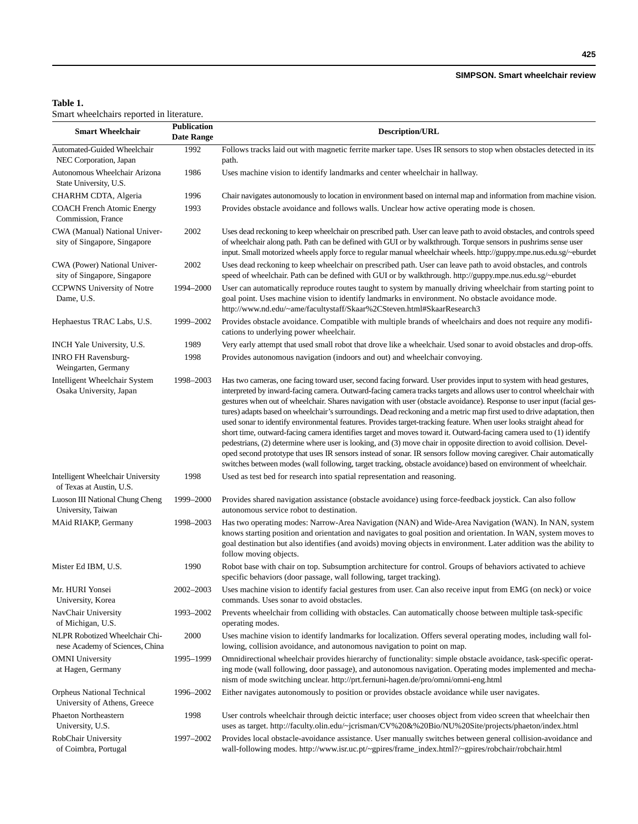# **Table 1.**

Smart wheelchairs reported in literature.

| <b>Smart Wheelchair</b>                                           | <b>Publication</b><br><b>Date Range</b> | <b>Description/URL</b>                                                                                                                                                                                                                                                                                                                                                                                                                                                                                                                                                                                                                                                                                                                                                                                                                                                                                                                                                                                                                                                                                           |  |  |  |
|-------------------------------------------------------------------|-----------------------------------------|------------------------------------------------------------------------------------------------------------------------------------------------------------------------------------------------------------------------------------------------------------------------------------------------------------------------------------------------------------------------------------------------------------------------------------------------------------------------------------------------------------------------------------------------------------------------------------------------------------------------------------------------------------------------------------------------------------------------------------------------------------------------------------------------------------------------------------------------------------------------------------------------------------------------------------------------------------------------------------------------------------------------------------------------------------------------------------------------------------------|--|--|--|
| Automated-Guided Wheelchair<br>NEC Corporation, Japan             | 1992                                    | Follows tracks laid out with magnetic ferrite marker tape. Uses IR sensors to stop when obstacles detected in its<br>path.                                                                                                                                                                                                                                                                                                                                                                                                                                                                                                                                                                                                                                                                                                                                                                                                                                                                                                                                                                                       |  |  |  |
| Autonomous Wheelchair Arizona<br>State University, U.S.           | 1986                                    | Uses machine vision to identify landmarks and center wheelchair in hallway.                                                                                                                                                                                                                                                                                                                                                                                                                                                                                                                                                                                                                                                                                                                                                                                                                                                                                                                                                                                                                                      |  |  |  |
| CHARHM CDTA, Algeria                                              | 1996                                    | Chair navigates autonomously to location in environment based on internal map and information from machine vision.                                                                                                                                                                                                                                                                                                                                                                                                                                                                                                                                                                                                                                                                                                                                                                                                                                                                                                                                                                                               |  |  |  |
| <b>COACH French Atomic Energy</b><br>Commission, France           | 1993                                    | Provides obstacle avoidance and follows walls. Unclear how active operating mode is chosen.                                                                                                                                                                                                                                                                                                                                                                                                                                                                                                                                                                                                                                                                                                                                                                                                                                                                                                                                                                                                                      |  |  |  |
| CWA (Manual) National Univer-<br>sity of Singapore, Singapore     | 2002                                    | Uses dead reckoning to keep wheelchair on prescribed path. User can leave path to avoid obstacles, and controls speed<br>of wheelchair along path. Path can be defined with GUI or by walkthrough. Torque sensors in pushrims sense user<br>input. Small motorized wheels apply force to regular manual wheelchair wheels. http://guppy.mpe.nus.edu.sg/~eburdet                                                                                                                                                                                                                                                                                                                                                                                                                                                                                                                                                                                                                                                                                                                                                  |  |  |  |
| CWA (Power) National Univer-<br>sity of Singapore, Singapore      | 2002                                    | Uses dead reckoning to keep wheelchair on prescribed path. User can leave path to avoid obstacles, and controls<br>speed of wheelchair. Path can be defined with GUI or by walkthrough. http://guppy.mpe.nus.edu.sg/~eburdet                                                                                                                                                                                                                                                                                                                                                                                                                                                                                                                                                                                                                                                                                                                                                                                                                                                                                     |  |  |  |
| <b>CCPWNS University of Notre</b><br>Dame, U.S.                   | 1994-2000                               | User can automatically reproduce routes taught to system by manually driving wheelchair from starting point to<br>goal point. Uses machine vision to identify landmarks in environment. No obstacle avoidance mode.<br>http://www.nd.edu/~ame/facultystaff/Skaar%2CSteven.html#SkaarResearch3                                                                                                                                                                                                                                                                                                                                                                                                                                                                                                                                                                                                                                                                                                                                                                                                                    |  |  |  |
| Hephaestus TRAC Labs, U.S.                                        | 1999-2002                               | Provides obstacle avoidance. Compatible with multiple brands of wheelchairs and does not require any modifi-<br>cations to underlying power wheelchair.                                                                                                                                                                                                                                                                                                                                                                                                                                                                                                                                                                                                                                                                                                                                                                                                                                                                                                                                                          |  |  |  |
| INCH Yale University, U.S.                                        | 1989                                    | Very early attempt that used small robot that drove like a wheelchair. Used sonar to avoid obstacles and drop-offs.                                                                                                                                                                                                                                                                                                                                                                                                                                                                                                                                                                                                                                                                                                                                                                                                                                                                                                                                                                                              |  |  |  |
| <b>INRO FH Ravensburg-</b><br>Weingarten, Germany                 | 1998                                    | Provides autonomous navigation (indoors and out) and wheelchair convoying.                                                                                                                                                                                                                                                                                                                                                                                                                                                                                                                                                                                                                                                                                                                                                                                                                                                                                                                                                                                                                                       |  |  |  |
| Intelligent Wheelchair System<br>Osaka University, Japan          | 1998-2003                               | Has two cameras, one facing toward user, second facing forward. User provides input to system with head gestures,<br>interpreted by inward-facing camera. Outward-facing camera tracks targets and allows user to control wheelchair with<br>gestures when out of wheelchair. Shares navigation with user (obstacle avoidance). Response to user input (facial ges-<br>tures) adapts based on wheelchair's surroundings. Dead reckoning and a metric map first used to drive adaptation, then<br>used sonar to identify environmental features. Provides target-tracking feature. When user looks straight ahead for<br>short time, outward-facing camera identifies target and moves toward it. Outward-facing camera used to (1) identify<br>pedestrians, (2) determine where user is looking, and (3) move chair in opposite direction to avoid collision. Devel-<br>oped second prototype that uses IR sensors instead of sonar. IR sensors follow moving caregiver. Chair automatically<br>switches between modes (wall following, target tracking, obstacle avoidance) based on environment of wheelchair. |  |  |  |
| Intelligent Wheelchair University<br>of Texas at Austin, U.S.     | 1998                                    | Used as test bed for research into spatial representation and reasoning.                                                                                                                                                                                                                                                                                                                                                                                                                                                                                                                                                                                                                                                                                                                                                                                                                                                                                                                                                                                                                                         |  |  |  |
| Luoson III National Chung Cheng<br>University, Taiwan             | 1999–2000                               | Provides shared navigation assistance (obstacle avoidance) using force-feedback joystick. Can also follow<br>autonomous service robot to destination.                                                                                                                                                                                                                                                                                                                                                                                                                                                                                                                                                                                                                                                                                                                                                                                                                                                                                                                                                            |  |  |  |
| MAid RIAKP, Germany                                               | 1998-2003                               | Has two operating modes: Narrow-Area Navigation (NAN) and Wide-Area Navigation (WAN). In NAN, system<br>knows starting position and orientation and navigates to goal position and orientation. In WAN, system moves to<br>goal destination but also identifies (and avoids) moving objects in environment. Later addition was the ability to<br>follow moving objects.                                                                                                                                                                                                                                                                                                                                                                                                                                                                                                                                                                                                                                                                                                                                          |  |  |  |
| Mister Ed IBM, U.S.                                               | 1990                                    | Robot base with chair on top. Subsumption architecture for control. Groups of behaviors activated to achieve<br>specific behaviors (door passage, wall following, target tracking).                                                                                                                                                                                                                                                                                                                                                                                                                                                                                                                                                                                                                                                                                                                                                                                                                                                                                                                              |  |  |  |
| Mr. HURI Yonsei<br>University, Korea                              | 2002-2003                               | Uses machine vision to identify facial gestures from user. Can also receive input from EMG (on neck) or voice<br>commands. Uses sonar to avoid obstacles.                                                                                                                                                                                                                                                                                                                                                                                                                                                                                                                                                                                                                                                                                                                                                                                                                                                                                                                                                        |  |  |  |
| NavChair University<br>of Michigan, U.S.                          | 1993-2002                               | Prevents wheelchair from colliding with obstacles. Can automatically choose between multiple task-specific<br>operating modes.                                                                                                                                                                                                                                                                                                                                                                                                                                                                                                                                                                                                                                                                                                                                                                                                                                                                                                                                                                                   |  |  |  |
| NLPR Robotized Wheelchair Chi-<br>nese Academy of Sciences, China | 2000                                    | Uses machine vision to identify landmarks for localization. Offers several operating modes, including wall fol-<br>lowing, collision avoidance, and autonomous navigation to point on map.                                                                                                                                                                                                                                                                                                                                                                                                                                                                                                                                                                                                                                                                                                                                                                                                                                                                                                                       |  |  |  |
| <b>OMNI</b> University<br>at Hagen, Germany                       | 1995-1999                               | Omnidirectional wheelchair provides hierarchy of functionality: simple obstacle avoidance, task-specific operat-<br>ing mode (wall following, door passage), and autonomous navigation. Operating modes implemented and mecha-<br>nism of mode switching unclear. http://prt.fernuni-hagen.de/pro/omni/omni-eng.html                                                                                                                                                                                                                                                                                                                                                                                                                                                                                                                                                                                                                                                                                                                                                                                             |  |  |  |
| Orpheus National Technical<br>University of Athens, Greece        | 1996-2002                               | Either navigates autonomously to position or provides obstacle avoidance while user navigates.                                                                                                                                                                                                                                                                                                                                                                                                                                                                                                                                                                                                                                                                                                                                                                                                                                                                                                                                                                                                                   |  |  |  |
| Phaeton Northeastern<br>University, U.S.                          | 1998                                    | User controls wheelchair through deictic interface; user chooses object from video screen that wheelchair then<br>uses as target. http://faculty.olin.edu/~jcrisman/CV%20&%20Bio/NU%20Site/projects/phaeton/index.html                                                                                                                                                                                                                                                                                                                                                                                                                                                                                                                                                                                                                                                                                                                                                                                                                                                                                           |  |  |  |
| RobChair University<br>of Coimbra, Portugal                       | 1997–2002                               | Provides local obstacle-avoidance assistance. User manually switches between general collision-avoidance and<br>wall-following modes. http://www.isr.uc.pt/~gpires/frame_index.html?/~gpires/robchair/robchair.html                                                                                                                                                                                                                                                                                                                                                                                                                                                                                                                                                                                                                                                                                                                                                                                                                                                                                              |  |  |  |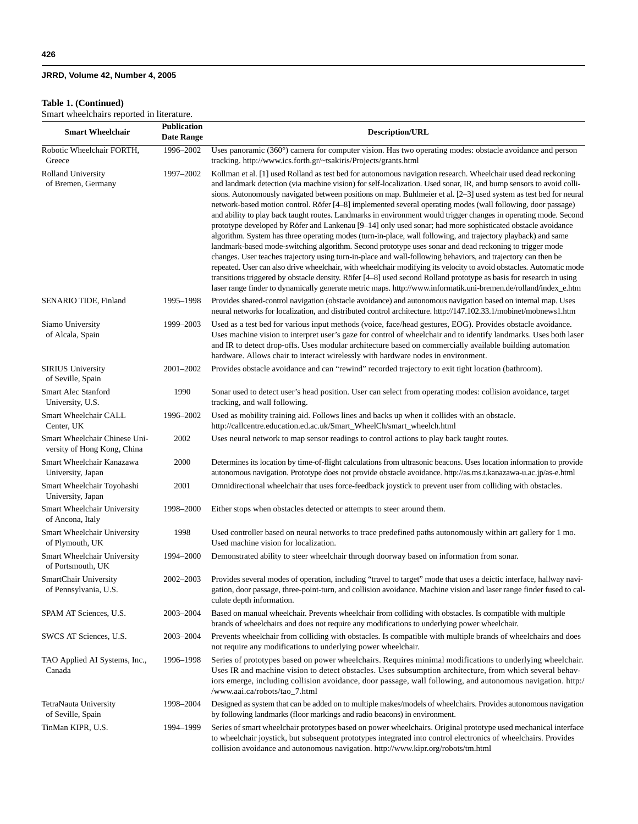## **Table 1. (Continued)**

Smart wheelchairs reported in literature.

| <b>Smart Wheelchair</b>                                      | <b>Publication</b><br><b>Date Range</b> | <b>Description/URL</b>                                                                                                                                                                                                                                                                                                                                                                                                                                                                                                                                                                                                                                                                                                                                                                                                                                                                                                                                                                                                                                                                                                                                                                                                                                                                                                                                                                                                      |  |  |
|--------------------------------------------------------------|-----------------------------------------|-----------------------------------------------------------------------------------------------------------------------------------------------------------------------------------------------------------------------------------------------------------------------------------------------------------------------------------------------------------------------------------------------------------------------------------------------------------------------------------------------------------------------------------------------------------------------------------------------------------------------------------------------------------------------------------------------------------------------------------------------------------------------------------------------------------------------------------------------------------------------------------------------------------------------------------------------------------------------------------------------------------------------------------------------------------------------------------------------------------------------------------------------------------------------------------------------------------------------------------------------------------------------------------------------------------------------------------------------------------------------------------------------------------------------------|--|--|
| Robotic Wheelchair FORTH,<br>Greece                          | 1996-2002                               | Uses panoramic (360°) camera for computer vision. Has two operating modes: obstacle avoidance and person<br>tracking. http://www.ics.forth.gr/~tsakiris/Projects/grants.html                                                                                                                                                                                                                                                                                                                                                                                                                                                                                                                                                                                                                                                                                                                                                                                                                                                                                                                                                                                                                                                                                                                                                                                                                                                |  |  |
| <b>Rolland University</b><br>of Bremen, Germany              | 1997-2002                               | Kollman et al. [1] used Rolland as test bed for autonomous navigation research. Wheelchair used dead reckoning<br>and landmark detection (via machine vision) for self-localization. Used sonar, IR, and bump sensors to avoid colli-<br>sions. Autonomously navigated between positions on map. Buhlmeier et al. [2-3] used system as test bed for neural<br>network-based motion control. Röfer [4–8] implemented several operating modes (wall following, door passage)<br>and ability to play back taught routes. Landmarks in environment would trigger changes in operating mode. Second<br>prototype developed by Röfer and Lankenau [9-14] only used sonar; had more sophisticated obstacle avoidance<br>algorithm. System has three operating modes (turn-in-place, wall following, and trajectory playback) and same<br>landmark-based mode-switching algorithm. Second prototype uses sonar and dead reckoning to trigger mode<br>changes. User teaches trajectory using turn-in-place and wall-following behaviors, and trajectory can then be<br>repeated. User can also drive wheelchair, with wheelchair modifying its velocity to avoid obstacles. Automatic mode<br>transitions triggered by obstacle density. Röfer [4–8] used second Rolland prototype as basis for research in using<br>laser range finder to dynamically generate metric maps. http://www.informatik.uni-bremen.de/rolland/index_e.htm |  |  |
| SENARIO TIDE, Finland                                        | 1995-1998                               | Provides shared-control navigation (obstacle avoidance) and autonomous navigation based on internal map. Uses<br>neural networks for localization, and distributed control architecture. http://147.102.33.1/mobinet/mobnews1.htm                                                                                                                                                                                                                                                                                                                                                                                                                                                                                                                                                                                                                                                                                                                                                                                                                                                                                                                                                                                                                                                                                                                                                                                           |  |  |
| Siamo University<br>of Alcala, Spain                         | 1999-2003                               | Used as a test bed for various input methods (voice, face/head gestures, EOG). Provides obstacle avoidance.<br>Uses machine vision to interpret user's gaze for control of wheelchair and to identify landmarks. Uses both laser<br>and IR to detect drop-offs. Uses modular architecture based on commercially available building automation<br>hardware. Allows chair to interact wirelessly with hardware nodes in environment.                                                                                                                                                                                                                                                                                                                                                                                                                                                                                                                                                                                                                                                                                                                                                                                                                                                                                                                                                                                          |  |  |
| <b>SIRIUS University</b><br>of Seville, Spain                | 2001-2002                               | Provides obstacle avoidance and can "rewind" recorded trajectory to exit tight location (bathroom).                                                                                                                                                                                                                                                                                                                                                                                                                                                                                                                                                                                                                                                                                                                                                                                                                                                                                                                                                                                                                                                                                                                                                                                                                                                                                                                         |  |  |
| <b>Smart Alec Stanford</b><br>University, U.S.               | 1990                                    | Sonar used to detect user's head position. User can select from operating modes: collision avoidance, target<br>tracking, and wall following.                                                                                                                                                                                                                                                                                                                                                                                                                                                                                                                                                                                                                                                                                                                                                                                                                                                                                                                                                                                                                                                                                                                                                                                                                                                                               |  |  |
| Smart Wheelchair CALL<br>Center, UK                          | 1996-2002                               | Used as mobility training aid. Follows lines and backs up when it collides with an obstacle.<br>http://callcentre.education.ed.ac.uk/Smart_WheelCh/smart_wheelch.html                                                                                                                                                                                                                                                                                                                                                                                                                                                                                                                                                                                                                                                                                                                                                                                                                                                                                                                                                                                                                                                                                                                                                                                                                                                       |  |  |
| Smart Wheelchair Chinese Uni-<br>versity of Hong Kong, China | 2002                                    | Uses neural network to map sensor readings to control actions to play back taught routes.                                                                                                                                                                                                                                                                                                                                                                                                                                                                                                                                                                                                                                                                                                                                                                                                                                                                                                                                                                                                                                                                                                                                                                                                                                                                                                                                   |  |  |
| Smart Wheelchair Kanazawa<br>University, Japan               | 2000                                    | Determines its location by time-of-flight calculations from ultrasonic beacons. Uses location information to provide<br>autonomous navigation. Prototype does not provide obstacle avoidance. http://as.ms.t.kanazawa-u.ac.jp/as-e.html                                                                                                                                                                                                                                                                                                                                                                                                                                                                                                                                                                                                                                                                                                                                                                                                                                                                                                                                                                                                                                                                                                                                                                                     |  |  |
| Smart Wheelchair Toyohashi<br>University, Japan              | 2001                                    | Omnidirectional wheelchair that uses force-feedback joystick to prevent user from colliding with obstacles.                                                                                                                                                                                                                                                                                                                                                                                                                                                                                                                                                                                                                                                                                                                                                                                                                                                                                                                                                                                                                                                                                                                                                                                                                                                                                                                 |  |  |
| Smart Wheelchair University<br>of Ancona, Italy              | 1998-2000                               | Either stops when obstacles detected or attempts to steer around them.                                                                                                                                                                                                                                                                                                                                                                                                                                                                                                                                                                                                                                                                                                                                                                                                                                                                                                                                                                                                                                                                                                                                                                                                                                                                                                                                                      |  |  |
| Smart Wheelchair University<br>of Plymouth, UK               | 1998                                    | Used controller based on neural networks to trace predefined paths autonomously within art gallery for 1 mo.<br>Used machine vision for localization.                                                                                                                                                                                                                                                                                                                                                                                                                                                                                                                                                                                                                                                                                                                                                                                                                                                                                                                                                                                                                                                                                                                                                                                                                                                                       |  |  |
| Smart Wheelchair University<br>of Portsmouth, UK             | 1994-2000                               | Demonstrated ability to steer wheelchair through doorway based on information from sonar.                                                                                                                                                                                                                                                                                                                                                                                                                                                                                                                                                                                                                                                                                                                                                                                                                                                                                                                                                                                                                                                                                                                                                                                                                                                                                                                                   |  |  |
| SmartChair University<br>of Pennsylvania, U.S.               | 2002-2003                               | Provides several modes of operation, including "travel to target" mode that uses a deictic interface, hallway navi-<br>gation, door passage, three-point-turn, and collision avoidance. Machine vision and laser range finder fused to cal-<br>culate depth information.                                                                                                                                                                                                                                                                                                                                                                                                                                                                                                                                                                                                                                                                                                                                                                                                                                                                                                                                                                                                                                                                                                                                                    |  |  |
| SPAM AT Sciences, U.S.                                       | 2003-2004                               | Based on manual wheelchair. Prevents wheelchair from colliding with obstacles. Is compatible with multiple<br>brands of wheelchairs and does not require any modifications to underlying power wheelchair.                                                                                                                                                                                                                                                                                                                                                                                                                                                                                                                                                                                                                                                                                                                                                                                                                                                                                                                                                                                                                                                                                                                                                                                                                  |  |  |
| SWCS AT Sciences, U.S.                                       | 2003-2004                               | Prevents wheelchair from colliding with obstacles. Is compatible with multiple brands of wheelchairs and does<br>not require any modifications to underlying power wheelchair.                                                                                                                                                                                                                                                                                                                                                                                                                                                                                                                                                                                                                                                                                                                                                                                                                                                                                                                                                                                                                                                                                                                                                                                                                                              |  |  |
| TAO Applied AI Systems, Inc.,<br>Canada                      | 1996-1998                               | Series of prototypes based on power wheelchairs. Requires minimal modifications to underlying wheelchair.<br>Uses IR and machine vision to detect obstacles. Uses subsumption architecture, from which several behav-<br>iors emerge, including collision avoidance, door passage, wall following, and autonomous navigation. http:/<br>/www.aai.ca/robots/tao_7.html                                                                                                                                                                                                                                                                                                                                                                                                                                                                                                                                                                                                                                                                                                                                                                                                                                                                                                                                                                                                                                                       |  |  |
| TetraNauta University<br>of Seville, Spain                   | 1998-2004                               | Designed as system that can be added on to multiple makes/models of wheelchairs. Provides autonomous navigation<br>by following landmarks (floor markings and radio beacons) in environment.                                                                                                                                                                                                                                                                                                                                                                                                                                                                                                                                                                                                                                                                                                                                                                                                                                                                                                                                                                                                                                                                                                                                                                                                                                |  |  |
| TinMan KIPR, U.S.                                            | 1994-1999                               | Series of smart wheelchair prototypes based on power wheelchairs. Original prototype used mechanical interface<br>to wheelchair joystick, but subsequent prototypes integrated into control electronics of wheelchairs. Provides<br>collision avoidance and autonomous navigation. http://www.kipr.org/robots/tm.html                                                                                                                                                                                                                                                                                                                                                                                                                                                                                                                                                                                                                                                                                                                                                                                                                                                                                                                                                                                                                                                                                                       |  |  |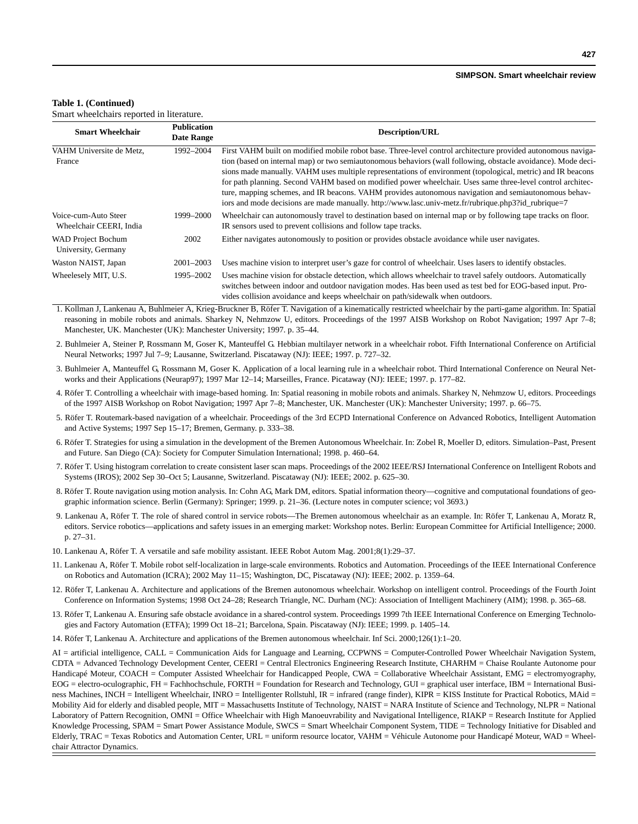#### **Table 1. (Continued)**

Smart wheelchairs reported in literature.

| <b>Smart Wheelchair</b>                          | <b>Publication</b><br><b>Date Range</b> | <b>Description/URL</b>                                                                                                                                                                                                                                                                                                                                                                                                                                                                                                                                                                                                                                                    |  |
|--------------------------------------------------|-----------------------------------------|---------------------------------------------------------------------------------------------------------------------------------------------------------------------------------------------------------------------------------------------------------------------------------------------------------------------------------------------------------------------------------------------------------------------------------------------------------------------------------------------------------------------------------------------------------------------------------------------------------------------------------------------------------------------------|--|
| VAHM Universite de Metz,<br>France               | 1992-2004                               | First VAHM built on modified mobile robot base. Three-level control architecture provided autonomous naviga-<br>tion (based on internal map) or two semiautonomous behaviors (wall following, obstacle avoidance). Mode deci-<br>sions made manually. VAHM uses multiple representations of environment (topological, metric) and IR beacons<br>for path planning. Second VAHM based on modified power wheelchair. Uses same three-level control architec-<br>ture, mapping schemes, and IR beacons. VAHM provides autonomous navigation and semiautonomous behav-<br>iors and mode decisions are made manually. http://www.lasc.univ-metz.fr/rubrique.php3?id_rubrique=7 |  |
| Voice-cum-Auto Steer<br>Wheelchair CEERI, India  | 1999-2000                               | Wheelchair can autonomously travel to destination based on internal map or by following tape tracks on floor.<br>IR sensors used to prevent collisions and follow tape tracks.                                                                                                                                                                                                                                                                                                                                                                                                                                                                                            |  |
| <b>WAD Project Bochum</b><br>University, Germany | 2002                                    | Either navigates autonomously to position or provides obstacle avoidance while user navigates.                                                                                                                                                                                                                                                                                                                                                                                                                                                                                                                                                                            |  |
| Waston NAIST, Japan                              | $2001 - 2003$                           | Uses machine vision to interpret user's gaze for control of wheelchair. Uses lasers to identify obstacles.                                                                                                                                                                                                                                                                                                                                                                                                                                                                                                                                                                |  |
| Wheelesely MIT, U.S.                             | 1995-2002                               | Uses machine vision for obstacle detection, which allows wheelchair to travel safely outdoors. Automatically<br>switches between indoor and outdoor navigation modes. Has been used as test bed for EOG-based input. Pro-<br>vides collision avoidance and keeps wheelchair on path/sidewalk when outdoors.                                                                                                                                                                                                                                                                                                                                                               |  |

1. Kollman J, Lankenau A, Buhlmeier A, Krieg-Bruckner B, Röfer T. Navigation of a kinematically restricted wheelchair by the parti-game algorithm. In: Spatial reasoning in mobile robots and animals. Sharkey N, Nehmzow U, editors. Proceedings of the 1997 AISB Workshop on Robot Navigation; 1997 Apr 7–8; Manchester, UK. Manchester (UK): Manchester University; 1997. p. 35–44.

2. Buhlmeier A, Steiner P, Rossmann M, Goser K, Manteuffel G. Hebbian multilayer network in a wheelchair robot. Fifth International Conference on Artificial Neural Networks; 1997 Jul 7–9; Lausanne, Switzerland. Piscataway (NJ): IEEE; 1997. p. 727–32.

3. Buhlmeier A, Manteuffel G, Rossmann M, Goser K. Application of a local learning rule in a wheelchair robot. Third International Conference on Neural Networks and their Applications (Neurap97); 1997 Mar 12-14; Marseilles, France. Picataway (NJ): IEEE; 1997. p. 177-82.

4. Röfer T. Controlling a wheelchair with image-based homing. In: Spatial reasoning in mobile robots and animals. Sharkey N, Nehmzow U, editors. Proceedings of the 1997 AISB Workshop on Robot Navigation; 1997 Apr 7–8; Manchester, UK. Manchester (UK): Manchester University; 1997. p. 66–75.

5. Röfer T. Routemark-based navigation of a wheelchair. Proceedings of the 3rd ECPD International Conference on Advanced Robotics, Intelligent Automation and Active Systems; 1997 Sep 15–17; Bremen, Germany. p. 333–38.

- 6. Röfer T. Strategies for using a simulation in the development of the Bremen Autonomous Wheelchair. In: Zobel R, Moeller D, editors. Simulation–Past, Present and Future. San Diego (CA): Society for Computer Simulation International; 1998. p. 460–64.
- 7. Röfer T. Using histogram correlation to create consistent laser scan maps. Proceedings of the 2002 IEEE/RSJ International Conference on Intelligent Robots and Systems (IROS); 2002 Sep 30–Oct 5; Lausanne, Switzerland. Piscataway (NJ): IEEE; 2002. p. 625–30.
- 8. Röfer T. Route navigation using motion analysis. In: Cohn AG, Mark DM, editors. Spatial information theory—cognitive and computational foundations of geographic information science. Berlin (Germany): Springer; 1999. p. 21–36. (Lecture notes in computer science; vol 3693.)
- 9. Lankenau A, Röfer T. The role of shared control in service robots—The Bremen autonomous wheelchair as an example. In: Röfer T, Lankenau A, Moratz R, editors. Service robotics—applications and safety issues in an emerging market: Workshop notes. Berlin: European Committee for Artificial Intelligence; 2000. p. 27–31.
- 10. Lankenau A, Röfer T. A versatile and safe mobility assistant. IEEE Robot Autom Mag. 2001;8(1):29–37.
- 11. Lankenau A, Röfer T. Mobile robot self-localization in large-scale environments. Robotics and Automation. Proceedings of the IEEE International Conference on Robotics and Automation (ICRA); 2002 May 11–15; Washington, DC, Piscataway (NJ): IEEE; 2002. p. 1359–64.
- 12. Röfer T, Lankenau A. Architecture and applications of the Bremen autonomous wheelchair. Workshop on intelligent control. Proceedings of the Fourth Joint Conference on Information Systems; 1998 Oct 24–28; Research Triangle, NC. Durham (NC): Association of Intelligent Machinery (AIM); 1998. p. 365–68.
- 13. Röfer T, Lankenau A. Ensuring safe obstacle avoidance in a shared-control system. Proceedings 1999 7th IEEE International Conference on Emerging Technologies and Factory Automation (ETFA); 1999 Oct 18–21; Barcelona, Spain. Piscataway (NJ): IEEE; 1999. p. 1405–14.
- 14. Röfer T, Lankenau A. Architecture and applications of the Bremen autonomous wheelchair. Inf Sci. 2000;126(1):1–20.

AI = artificial intelligence, CALL = Communication Aids for Language and Learning, CCPWNS = Computer-Controlled Power Wheelchair Navigation System, CDTA = Advanced Technology Development Center, CEERI = Central Electronics Engineering Research Institute, CHARHM = Chaise Roulante Autonome pour Handicapé Moteur, COACH = Computer Assisted Wheelchair for Handicapped People, CWA = Collaborative Wheelchair Assistant, EMG = electromyography, EOG = electro-oculographic, FH = Fachhochschule, FORTH = Foundation for Research and Technology, GUI = graphical user interface, IBM = International Business Machines, INCH = Intelligent Wheelchair, INRO = Intelligenter Rollstuhl, IR = infrared (range finder), KIPR = KISS Institute for Practical Robotics, MAid = Mobility Aid for elderly and disabled people, MIT = Massachusetts Institute of Technology, NAIST = NARA Institute of Science and Technology, NLPR = National Laboratory of Pattern Recognition, OMNI = Office Wheelchair with High Manoeuvrability and Navigational Intelligence, RIAKP = Research Institute for Applied Knowledge Processing, SPAM = Smart Power Assistance Module, SWCS = Smart Wheelchair Component System, TIDE = Technology Initiative for Disabled and Elderly, TRAC = Texas Robotics and Automation Center, URL = uniform resource locator, VAHM = Véhicule Autonome pour Handicapé Moteur, WAD = Wheelchair Attractor Dynamics.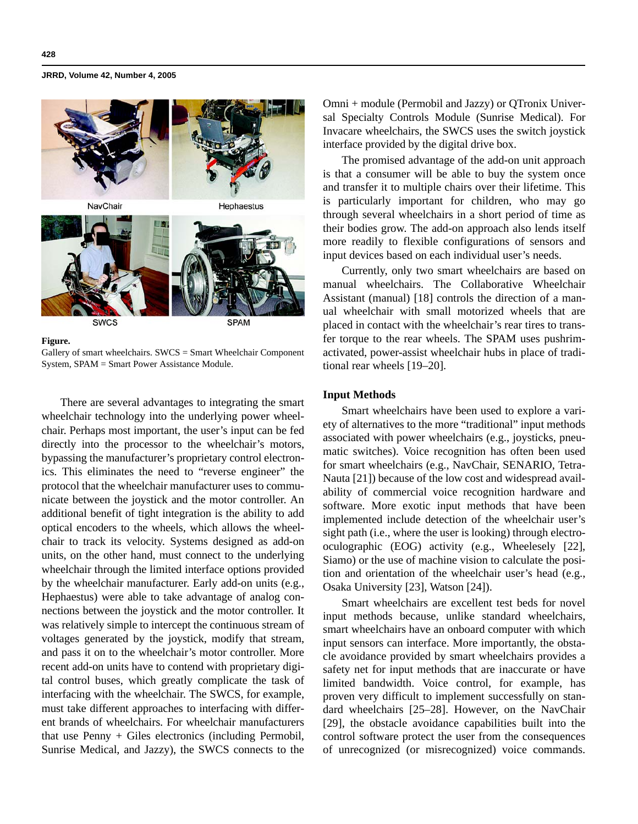

**Figure.**

Gallery of smart wheelchairs. SWCS = Smart Wheelchair Component System, SPAM = Smart Power Assistance Module.

There are several advantages to integrating the smart wheelchair technology into the underlying power wheelchair. Perhaps most important, the user's input can be fed directly into the processor to the wheelchair's motors, bypassing the manufacturer's proprietary control electronics. This eliminates the need to "reverse engineer" the protocol that the wheelchair manufacturer uses to communicate between the joystick and the motor controller. An additional benefit of tight integration is the ability to add optical encoders to the wheels, which allows the wheelchair to track its velocity. Systems designed as add-on units, on the other hand, must connect to the underlying wheelchair through the limited interface options provided by the wheelchair manufacturer. Early add-on units (e.g., Hephaestus) were able to take advantage of analog connections between the joystick and the motor controller. It was relatively simple to intercept the continuous stream of voltages generated by the joystick, modify that stream, and pass it on to the wheelchair's motor controller. More recent add-on units have to contend with proprietary digital control buses, which greatly complicate the task of interfacing with the wheelchair. The SWCS, for example, must take different approaches to interfacing with different brands of wheelchairs. For wheelchair manufacturers that use Penny + Giles electronics (including Permobil, Sunrise Medical, and Jazzy), the SWCS connects to the Omni + module (Permobil and Jazzy) or QTronix Universal Specialty Controls Module (Sunrise Medical). For Invacare wheelchairs, the SWCS uses the switch joystick interface provided by the digital drive box.

The promised advantage of the add-on unit approach is that a consumer will be able to buy the system once and transfer it to multiple chairs over their lifetime. This is particularly important for children, who may go through several wheelchairs in a short period of time as their bodies grow. The add-on approach also lends itself more readily to flexible configurations of sensors and input devices based on each individual user's needs.

Currently, only two smart wheelchairs are based on manual wheelchairs. The Collaborative Wheelchair Assistant (manual) [18] controls the direction of a manual wheelchair with small motorized wheels that are placed in contact with the wheelchair's rear tires to transfer torque to the rear wheels. The SPAM uses pushrimactivated, power-assist wheelchair hubs in place of traditional rear wheels [19–20].

#### **Input Methods**

Smart wheelchairs have been used to explore a variety of alternatives to the more "traditional" input methods associated with power wheelchairs (e.g., joysticks, pneumatic switches). Voice recognition has often been used for smart wheelchairs (e.g., NavChair, SENARIO, Tetra-Nauta [21]) because of the low cost and widespread availability of commercial voice recognition hardware and software. More exotic input methods that have been implemented include detection of the wheelchair user's sight path (i.e., where the user is looking) through electrooculographic (EOG) activity (e.g., Wheelesely [22], Siamo) or the use of machine vision to calculate the position and orientation of the wheelchair user's head (e.g., Osaka University [23], Watson [24]).

Smart wheelchairs are excellent test beds for novel input methods because, unlike standard wheelchairs, smart wheelchairs have an onboard computer with which input sensors can interface. More importantly, the obstacle avoidance provided by smart wheelchairs provides a safety net for input methods that are inaccurate or have limited bandwidth. Voice control, for example, has proven very difficult to implement successfully on standard wheelchairs [25–28]. However, on the NavChair [29], the obstacle avoidance capabilities built into the control software protect the user from the consequences of unrecognized (or misrecognized) voice commands.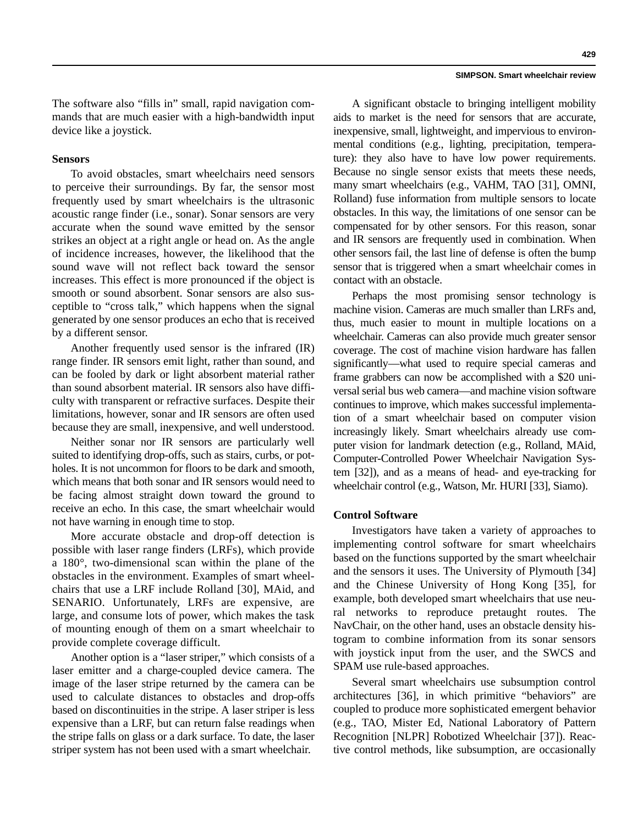The software also "fills in" small, rapid navigation commands that are much easier with a high-bandwidth input device like a joystick.

## **Sensors**

To avoid obstacles, smart wheelchairs need sensors to perceive their surroundings. By far, the sensor most frequently used by smart wheelchairs is the ultrasonic acoustic range finder (i.e., sonar). Sonar sensors are very accurate when the sound wave emitted by the sensor strikes an object at a right angle or head on. As the angle of incidence increases, however, the likelihood that the sound wave will not reflect back toward the sensor increases. This effect is more pronounced if the object is smooth or sound absorbent. Sonar sensors are also susceptible to "cross talk," which happens when the signal generated by one sensor produces an echo that is received by a different sensor.

Another frequently used sensor is the infrared (IR) range finder. IR sensors emit light, rather than sound, and can be fooled by dark or light absorbent material rather than sound absorbent material. IR sensors also have difficulty with transparent or refractive surfaces. Despite their limitations, however, sonar and IR sensors are often used because they are small, inexpensive, and well understood.

Neither sonar nor IR sensors are particularly well suited to identifying drop-offs, such as stairs, curbs, or potholes. It is not uncommon for floors to be dark and smooth, which means that both sonar and IR sensors would need to be facing almost straight down toward the ground to receive an echo. In this case, the smart wheelchair would not have warning in enough time to stop.

More accurate obstacle and drop-off detection is possible with laser range finders (LRFs), which provide a 180°, two-dimensional scan within the plane of the obstacles in the environment. Examples of smart wheelchairs that use a LRF include Rolland [30], MAid, and SENARIO. Unfortunately, LRFs are expensive, are large, and consume lots of power, which makes the task of mounting enough of them on a smart wheelchair to provide complete coverage difficult.

Another option is a "laser striper," which consists of a laser emitter and a charge-coupled device camera. The image of the laser stripe returned by the camera can be used to calculate distances to obstacles and drop-offs based on discontinuities in the stripe. A laser striper is less expensive than a LRF, but can return false readings when the stripe falls on glass or a dark surface. To date, the laser striper system has not been used with a smart wheelchair.

A significant obstacle to bringing intelligent mobility aids to market is the need for sensors that are accurate, inexpensive, small, lightweight, and impervious to environmental conditions (e.g., lighting, precipitation, temperature): they also have to have low power requirements. Because no single sensor exists that meets these needs, many smart wheelchairs (e.g., VAHM, TAO [31], OMNI, Rolland) fuse information from multiple sensors to locate obstacles. In this way, the limitations of one sensor can be compensated for by other sensors. For this reason, sonar and IR sensors are frequently used in combination. When other sensors fail, the last line of defense is often the bump sensor that is triggered when a smart wheelchair comes in contact with an obstacle.

Perhaps the most promising sensor technology is machine vision. Cameras are much smaller than LRFs and, thus, much easier to mount in multiple locations on a wheelchair. Cameras can also provide much greater sensor coverage. The cost of machine vision hardware has fallen significantly—what used to require special cameras and frame grabbers can now be accomplished with a \$20 universal serial bus web camera—and machine vision software continues to improve, which makes successful implementation of a smart wheelchair based on computer vision increasingly likely. Smart wheelchairs already use computer vision for landmark detection (e.g., Rolland, MAid, Computer-Controlled Power Wheelchair Navigation System [32]), and as a means of head- and eye-tracking for wheelchair control (e.g., Watson, Mr. HURI [33], Siamo).

## **Control Software**

Investigators have taken a variety of approaches to implementing control software for smart wheelchairs based on the functions supported by the smart wheelchair and the sensors it uses. The University of Plymouth [34] and the Chinese University of Hong Kong [35], for example, both developed smart wheelchairs that use neural networks to reproduce pretaught routes. The NavChair, on the other hand, uses an obstacle density histogram to combine information from its sonar sensors with joystick input from the user, and the SWCS and SPAM use rule-based approaches.

Several smart wheelchairs use subsumption control architectures [36], in which primitive "behaviors" are coupled to produce more sophisticated emergent behavior (e.g., TAO, Mister Ed, National Laboratory of Pattern Recognition [NLPR] Robotized Wheelchair [37]). Reactive control methods, like subsumption, are occasionally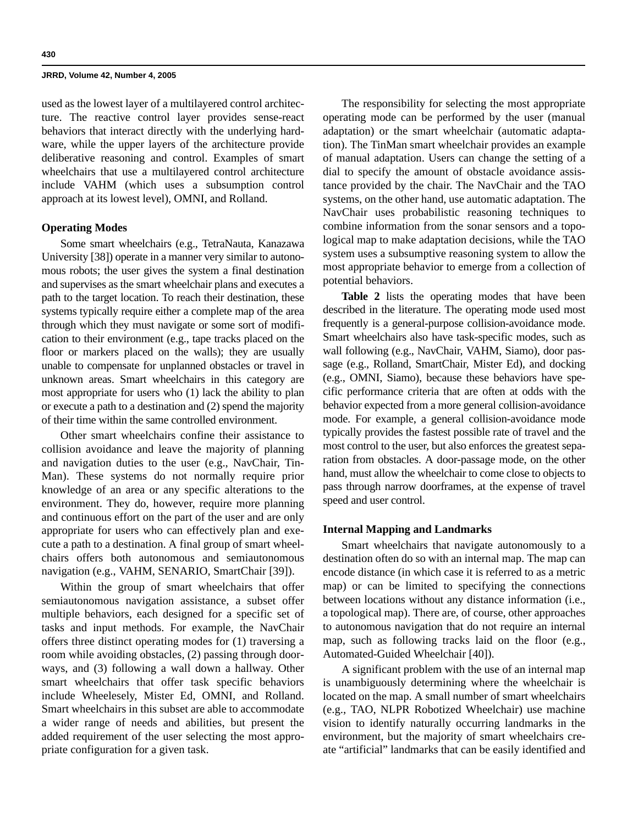used as the lowest layer of a multilayered control architecture. The reactive control layer provides sense-react behaviors that interact directly with the underlying hardware, while the upper layers of the architecture provide deliberative reasoning and control. Examples of smart wheelchairs that use a multilayered control architecture include VAHM (which uses a subsumption control approach at its lowest level), OMNI, and Rolland.

## **Operating Modes**

Some smart wheelchairs (e.g., TetraNauta, Kanazawa University [38]) operate in a manner very similar to autonomous robots; the user gives the system a final destination and supervises as the smart wheelchair plans and executes a path to the target location. To reach their destination, these systems typically require either a complete map of the area through which they must navigate or some sort of modification to their environment (e.g., tape tracks placed on the floor or markers placed on the walls); they are usually unable to compensate for unplanned obstacles or travel in unknown areas. Smart wheelchairs in this category are most appropriate for users who (1) lack the ability to plan or execute a path to a destination and (2) spend the majority of their time within the same controlled environment.

Other smart wheelchairs confine their assistance to collision avoidance and leave the majority of planning and navigation duties to the user (e.g., NavChair, Tin-Man). These systems do not normally require prior knowledge of an area or any specific alterations to the environment. They do, however, require more planning and continuous effort on the part of the user and are only appropriate for users who can effectively plan and execute a path to a destination. A final group of smart wheelchairs offers both autonomous and semiautonomous navigation (e.g., VAHM, SENARIO, SmartChair [39]).

Within the group of smart wheelchairs that offer semiautonomous navigation assistance, a subset offer multiple behaviors, each designed for a specific set of tasks and input methods. For example, the NavChair offers three distinct operating modes for (1) traversing a room while avoiding obstacles, (2) passing through doorways, and (3) following a wall down a hallway. Other smart wheelchairs that offer task specific behaviors include Wheelesely, Mister Ed, OMNI, and Rolland. Smart wheelchairs in this subset are able to accommodate a wider range of needs and abilities, but present the added requirement of the user selecting the most appropriate configuration for a given task.

The responsibility for selecting the most appropriate operating mode can be performed by the user (manual adaptation) or the smart wheelchair (automatic adaptation). The TinMan smart wheelchair provides an example of manual adaptation. Users can change the setting of a dial to specify the amount of obstacle avoidance assistance provided by the chair. The NavChair and the TAO systems, on the other hand, use automatic adaptation. The NavChair uses probabilistic reasoning techniques to combine information from the sonar sensors and a topological map to make adaptation decisions, while the TAO system uses a subsumptive reasoning system to allow the most appropriate behavior to emerge from a collection of potential behaviors.

**Table 2** lists the operating modes that have been described in the literature. The operating mode used most frequently is a general-purpose collision-avoidance mode. Smart wheelchairs also have task-specific modes, such as wall following (e.g., NavChair, VAHM, Siamo), door passage (e.g., Rolland, SmartChair, Mister Ed), and docking (e.g., OMNI, Siamo), because these behaviors have specific performance criteria that are often at odds with the behavior expected from a more general collision-avoidance mode. For example, a general collision-avoidance mode typically provides the fastest possible rate of travel and the most control to the user, but also enforces the greatest separation from obstacles. A door-passage mode, on the other hand, must allow the wheelchair to come close to objects to pass through narrow doorframes, at the expense of travel speed and user control.

## **Internal Mapping and Landmarks**

Smart wheelchairs that navigate autonomously to a destination often do so with an internal map. The map can encode distance (in which case it is referred to as a metric map) or can be limited to specifying the connections between locations without any distance information (i.e., a topological map). There are, of course, other approaches to autonomous navigation that do not require an internal map, such as following tracks laid on the floor (e.g., Automated-Guided Wheelchair [40]).

A significant problem with the use of an internal map is unambiguously determining where the wheelchair is located on the map. A small number of smart wheelchairs (e.g., TAO, NLPR Robotized Wheelchair) use machine vision to identify naturally occurring landmarks in the environment, but the majority of smart wheelchairs create "artificial" landmarks that can be easily identified and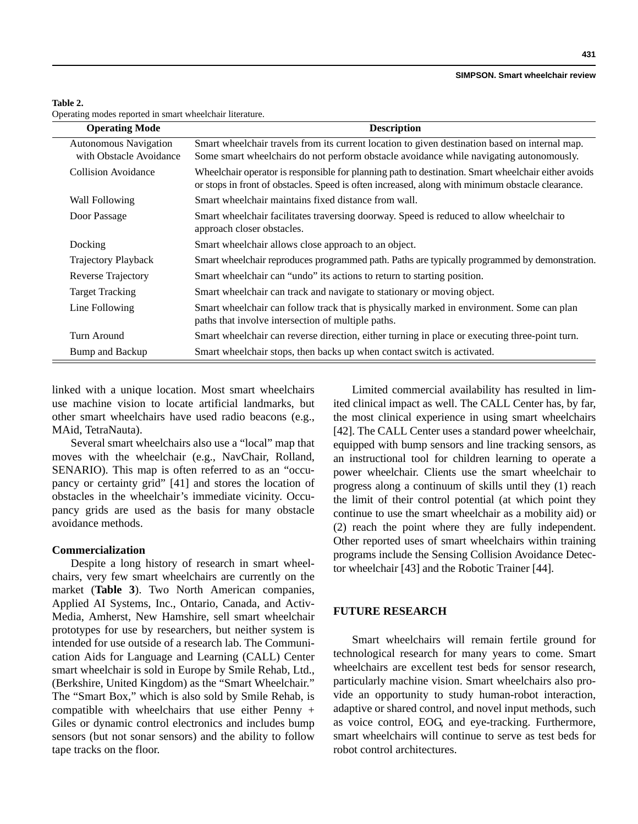## **Table 2.**

Operating modes reported in smart wheelchair literature.

| <b>Operating Mode</b>                                   | <b>Description</b>                                                                                                                                                                                      |  |  |
|---------------------------------------------------------|---------------------------------------------------------------------------------------------------------------------------------------------------------------------------------------------------------|--|--|
| <b>Autonomous Navigation</b><br>with Obstacle Avoidance | Smart wheelchair travels from its current location to given destination based on internal map.<br>Some smart wheelchairs do not perform obstacle avoidance while navigating autonomously.               |  |  |
| <b>Collision Avoidance</b>                              | Wheelchair operator is responsible for planning path to destination. Smart wheelchair either avoids<br>or stops in front of obstacles. Speed is often increased, along with minimum obstacle clearance. |  |  |
| Wall Following                                          | Smart wheelchair maintains fixed distance from wall.                                                                                                                                                    |  |  |
| Door Passage                                            | Smart wheelchair facilitates traversing doorway. Speed is reduced to allow wheelchair to<br>approach closer obstacles.                                                                                  |  |  |
| Docking                                                 | Smart wheelchair allows close approach to an object.                                                                                                                                                    |  |  |
| <b>Trajectory Playback</b>                              | Smart wheelchair reproduces programmed path. Paths are typically programmed by demonstration.                                                                                                           |  |  |
| Reverse Trajectory                                      | Smart wheelchair can "undo" its actions to return to starting position.                                                                                                                                 |  |  |
| <b>Target Tracking</b>                                  | Smart wheelchair can track and navigate to stationary or moving object.                                                                                                                                 |  |  |
| Line Following                                          | Smart wheelchair can follow track that is physically marked in environment. Some can plan<br>paths that involve intersection of multiple paths.                                                         |  |  |
| Turn Around                                             | Smart wheelchair can reverse direction, either turning in place or executing three-point turn.                                                                                                          |  |  |
| Bump and Backup                                         | Smart wheelchair stops, then backs up when contact switch is activated.                                                                                                                                 |  |  |

linked with a unique location. Most smart wheelchairs use machine vision to locate artificial landmarks, but other smart wheelchairs have used radio beacons (e.g., MAid, TetraNauta).

Several smart wheelchairs also use a "local" map that moves with the wheelchair (e.g., NavChair, Rolland, SENARIO). This map is often referred to as an "occupancy or certainty grid" [41] and stores the location of obstacles in the wheelchair's immediate vicinity. Occupancy grids are used as the basis for many obstacle avoidance methods.

#### **Commercialization**

Despite a long history of research in smart wheelchairs, very few smart wheelchairs are currently on the market (**Table 3**). Two North American companies, Applied AI Systems, Inc., Ontario, Canada, and Activ-Media, Amherst, New Hamshire, sell smart wheelchair prototypes for use by researchers, but neither system is intended for use outside of a research lab. The Communication Aids for Language and Learning (CALL) Center smart wheelchair is sold in Europe by Smile Rehab, Ltd., (Berkshire, United Kingdom) as the "Smart Wheelchair." The "Smart Box," which is also sold by Smile Rehab, is compatible with wheelchairs that use either Penny + Giles or dynamic control electronics and includes bump sensors (but not sonar sensors) and the ability to follow tape tracks on the floor.

Limited commercial availability has resulted in limited clinical impact as well. The CALL Center has, by far, the most clinical experience in using smart wheelchairs [42]. The CALL Center uses a standard power wheelchair, equipped with bump sensors and line tracking sensors, as an instructional tool for children learning to operate a power wheelchair. Clients use the smart wheelchair to progress along a continuum of skills until they (1) reach the limit of their control potential (at which point they continue to use the smart wheelchair as a mobility aid) or (2) reach the point where they are fully independent. Other reported uses of smart wheelchairs within training programs include the Sensing Collision Avoidance Detector wheelchair [43] and the Robotic Trainer [44].

## **FUTURE RESEARCH**

Smart wheelchairs will remain fertile ground for technological research for many years to come. Smart wheelchairs are excellent test beds for sensor research, particularly machine vision. Smart wheelchairs also provide an opportunity to study human-robot interaction, adaptive or shared control, and novel input methods, such as voice control, EOG, and eye-tracking. Furthermore, smart wheelchairs will continue to serve as test beds for robot control architectures.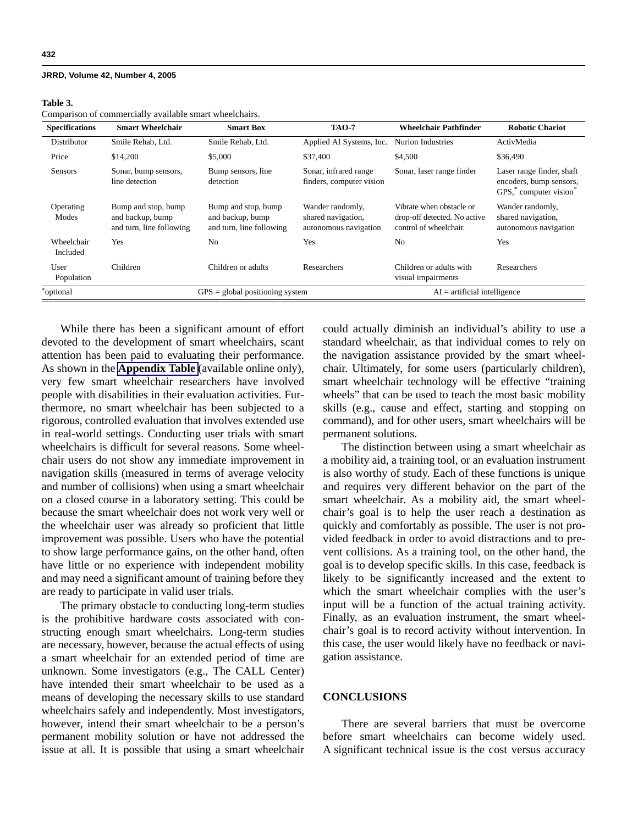## **Table 3.**

Comparison of commercially available smart wheelchairs.

| <b>Specifications</b>  | <b>Smart Wheelchair</b>                                             | <b>Smart Box</b>                                                    | <b>TAO-7</b>                                                    | <b>Wheelchair Pathfinder</b>                                                       | <b>Robotic Chariot</b>                                                         |
|------------------------|---------------------------------------------------------------------|---------------------------------------------------------------------|-----------------------------------------------------------------|------------------------------------------------------------------------------------|--------------------------------------------------------------------------------|
| Distributor            | Smile Rehab, Ltd.                                                   | Smile Rehab, Ltd.                                                   | Applied AI Systems, Inc.                                        | <b>Nurion Industries</b>                                                           | ActivMedia                                                                     |
| Price                  | \$14,200                                                            | \$5,000                                                             | \$37,400                                                        | \$4,500                                                                            | \$36,490                                                                       |
| Sensors                | Sonar, bump sensors,<br>line detection                              | Bump sensors, line<br>detection                                     | Sonar, infrared range<br>finders, computer vision               | Sonar, laser range finder                                                          | Laser range finder, shaft<br>encoders, bump sensors,<br>GPS,* computer vision* |
| Operating<br>Modes     | Bump and stop, bump<br>and backup, bump<br>and turn, line following | Bump and stop, bump<br>and backup, bump<br>and turn, line following | Wander randomly,<br>shared navigation,<br>autonomous navigation | Vibrate when obstacle or<br>drop-off detected. No active<br>control of wheelchair. | Wander randomly,<br>shared navigation,<br>autonomous navigation                |
| Wheelchair<br>Included | Yes                                                                 | N <sub>0</sub>                                                      | Yes                                                             | No                                                                                 | Yes                                                                            |
| User<br>Population     | Children                                                            | Children or adults                                                  | Researchers                                                     | Children or adults with<br>visual impairments                                      | Researchers                                                                    |
| *optional              |                                                                     | $GPS = global positioning system$                                   |                                                                 | $AI =$ artificial intelligence                                                     |                                                                                |

While there has been a significant amount of effort devoted to the development of smart wheelchairs, scant attention has been paid to evaluating their performance. As shown in the **[Appendix Table](http://www.vard.org/jour/05/42/4/pdf/simpson-appen-table.pdf)** (available online only), very few smart wheelchair researchers have involved people with disabilities in their evaluation activities. Furthermore, no smart wheelchair has been subjected to a rigorous, controlled evaluation that involves extended use in real-world settings. Conducting user trials with smart wheelchairs is difficult for several reasons. Some wheelchair users do not show any immediate improvement in navigation skills (measured in terms of average velocity and number of collisions) when using a smart wheelchair on a closed course in a laboratory setting. This could be because the smart wheelchair does not work very well or the wheelchair user was already so proficient that little improvement was possible. Users who have the potential to show large performance gains, on the other hand, often have little or no experience with independent mobility and may need a significant amount of training before they are ready to participate in valid user trials.

The primary obstacle to conducting long-term studies is the prohibitive hardware costs associated with constructing enough smart wheelchairs. Long-term studies are necessary, however, because the actual effects of using a smart wheelchair for an extended period of time are unknown. Some investigators (e.g., The CALL Center) have intended their smart wheelchair to be used as a means of developing the necessary skills to use standard wheelchairs safely and independently. Most investigators, however, intend their smart wheelchair to be a person's permanent mobility solution or have not addressed the issue at all. It is possible that using a smart wheelchair could actually diminish an individual's ability to use a standard wheelchair, as that individual comes to rely on the navigation assistance provided by the smart wheelchair. Ultimately, for some users (particularly children), smart wheelchair technology will be effective "training wheels" that can be used to teach the most basic mobility skills (e.g., cause and effect, starting and stopping on command), and for other users, smart wheelchairs will be permanent solutions.

The distinction between using a smart wheelchair as a mobility aid, a training tool, or an evaluation instrument is also worthy of study. Each of these functions is unique and requires very different behavior on the part of the smart wheelchair. As a mobility aid, the smart wheelchair's goal is to help the user reach a destination as quickly and comfortably as possible. The user is not provided feedback in order to avoid distractions and to prevent collisions. As a training tool, on the other hand, the goal is to develop specific skills. In this case, feedback is likely to be significantly increased and the extent to which the smart wheelchair complies with the user's input will be a function of the actual training activity. Finally, as an evaluation instrument, the smart wheelchair's goal is to record activity without intervention. In this case, the user would likely have no feedback or navigation assistance.

## **CONCLUSIONS**

There are several barriers that must be overcome before smart wheelchairs can become widely used. A significant technical issue is the cost versus accuracy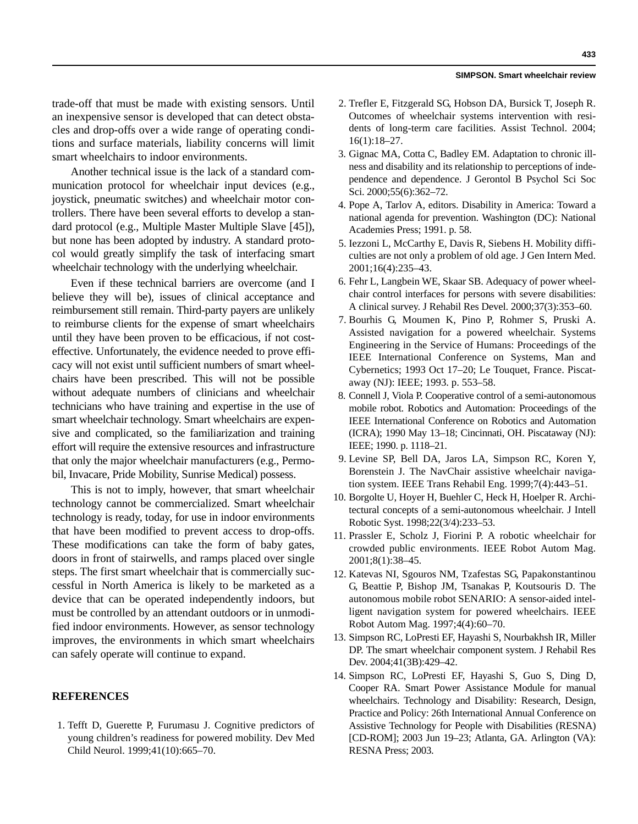**433**

trade-off that must be made with existing sensors. Until an inexpensive sensor is developed that can detect obstacles and drop-offs over a wide range of operating conditions and surface materials, liability concerns will limit smart wheelchairs to indoor environments.

Another technical issue is the lack of a standard communication protocol for wheelchair input devices (e.g., joystick, pneumatic switches) and wheelchair motor controllers. There have been several efforts to develop a standard protocol (e.g., Multiple Master Multiple Slave [45]), but none has been adopted by industry. A standard protocol would greatly simplify the task of interfacing smart wheelchair technology with the underlying wheelchair.

Even if these technical barriers are overcome (and I believe they will be), issues of clinical acceptance and reimbursement still remain. Third-party payers are unlikely to reimburse clients for the expense of smart wheelchairs until they have been proven to be efficacious, if not costeffective. Unfortunately, the evidence needed to prove efficacy will not exist until sufficient numbers of smart wheelchairs have been prescribed. This will not be possible without adequate numbers of clinicians and wheelchair technicians who have training and expertise in the use of smart wheelchair technology. Smart wheelchairs are expensive and complicated, so the familiarization and training effort will require the extensive resources and infrastructure that only the major wheelchair manufacturers (e.g., Permobil, Invacare, Pride Mobility, Sunrise Medical) possess.

This is not to imply, however, that smart wheelchair technology cannot be commercialized. Smart wheelchair technology is ready, today, for use in indoor environments that have been modified to prevent access to drop-offs. These modifications can take the form of baby gates, doors in front of stairwells, and ramps placed over single steps. The first smart wheelchair that is commercially successful in North America is likely to be marketed as a device that can be operated independently indoors, but must be controlled by an attendant outdoors or in unmodified indoor environments. However, as sensor technology improves, the environments in which smart wheelchairs can safely operate will continue to expand.

#### **REFERENCES**

 1. Tefft D, Guerette P, Furumasu J. Cognitive predictors of young children's readiness for powered mobility. Dev Med Child Neurol. 1999;41(10):665–70.

- 2. Trefler E, Fitzgerald SG, Hobson DA, Bursick T, Joseph R. Outcomes of wheelchair systems intervention with residents of long-term care facilities. Assist Technol. 2004; 16(1):18–27.
- 3. Gignac MA, Cotta C, Badley EM. Adaptation to chronic illness and disability and its relationship to perceptions of independence and dependence. J Gerontol B Psychol Sci Soc Sci. 2000;55(6):362–72.
- 4. Pope A, Tarlov A, editors. Disability in America: Toward a national agenda for prevention. Washington (DC): National Academies Press; 1991. p. 58.
- 5. Iezzoni L, McCarthy E, Davis R, Siebens H. Mobility difficulties are not only a problem of old age. J Gen Intern Med. 2001;16(4):235–43.
- 6. Fehr L, Langbein WE, Skaar SB. Adequacy of power wheelchair control interfaces for persons with severe disabilities: A clinical survey. J Rehabil Res Devel. 2000;37(3):353–60.
- 7. Bourhis G, Moumen K, Pino P, Rohmer S, Pruski A. Assisted navigation for a powered wheelchair. Systems Engineering in the Service of Humans: Proceedings of the IEEE International Conference on Systems, Man and Cybernetics; 1993 Oct 17–20; Le Touquet, France. Piscataway (NJ): IEEE; 1993. p. 553–58.
- 8. Connell J, Viola P. Cooperative control of a semi-autonomous mobile robot. Robotics and Automation: Proceedings of the IEEE International Conference on Robotics and Automation (ICRA); 1990 May 13–18; Cincinnati, OH. Piscataway (NJ): IEEE; 1990. p. 1118–21.
- 9. Levine SP, Bell DA, Jaros LA, Simpson RC, Koren Y, Borenstein J. The NavChair assistive wheelchair navigation system. IEEE Trans Rehabil Eng. 1999;7(4):443–51.
- 10. Borgolte U, Hoyer H, Buehler C, Heck H, Hoelper R. Architectural concepts of a semi-autonomous wheelchair. J Intell Robotic Syst. 1998;22(3/4):233–53.
- 11. Prassler E, Scholz J, Fiorini P. A robotic wheelchair for crowded public environments. IEEE Robot Autom Mag. 2001;8(1):38–45.
- 12. Katevas NI, Sgouros NM, Tzafestas SG, Papakonstantinou G, Beattie P, Bishop JM, Tsanakas P, Koutsouris D. The autonomous mobile robot SENARIO: A sensor-aided intelligent navigation system for powered wheelchairs. IEEE Robot Autom Mag. 1997;4(4):60–70.
- 13. Simpson RC, LoPresti EF, Hayashi S, Nourbakhsh IR, Miller DP. The smart wheelchair component system. J Rehabil Res Dev. 2004;41(3B):429–42.
- 14. Simpson RC, LoPresti EF, Hayashi S, Guo S, Ding D, Cooper RA. Smart Power Assistance Module for manual wheelchairs. Technology and Disability: Research, Design, Practice and Policy: 26th International Annual Conference on Assistive Technology for People with Disabilities (RESNA) [CD-ROM]; 2003 Jun 19–23; Atlanta, GA. Arlington (VA): RESNA Press; 2003.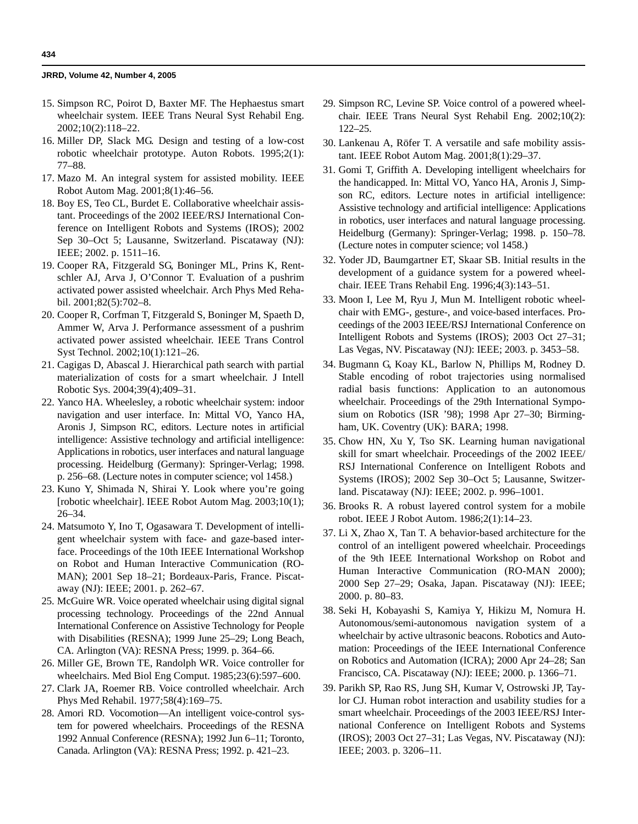- 15. Simpson RC, Poirot D, Baxter MF. The Hephaestus smart wheelchair system. IEEE Trans Neural Syst Rehabil Eng. 2002;10(2):118–22.
- 16. Miller DP, Slack MG. Design and testing of a low-cost robotic wheelchair prototype. Auton Robots. 1995;2(1): 77–88.
- 17. Mazo M. An integral system for assisted mobility. IEEE Robot Autom Mag. 2001;8(1):46–56.
- 18. Boy ES, Teo CL, Burdet E. Collaborative wheelchair assistant. Proceedings of the 2002 IEEE/RSJ International Conference on Intelligent Robots and Systems (IROS); 2002 Sep 30–Oct 5; Lausanne, Switzerland. Piscataway (NJ): IEEE; 2002. p. 1511–16.
- 19. Cooper RA, Fitzgerald SG, Boninger ML, Prins K, Rentschler AJ, Arva J, O'Connor T. Evaluation of a pushrim activated power assisted wheelchair. Arch Phys Med Rehabil. 2001;82(5):702–8.
- 20. Cooper R, Corfman T, Fitzgerald S, Boninger M, Spaeth D, Ammer W, Arva J. Performance assessment of a pushrim activated power assisted wheelchair. IEEE Trans Control Syst Technol. 2002;10(1):121–26.
- 21. Cagigas D, Abascal J. Hierarchical path search with partial materialization of costs for a smart wheelchair. J Intell Robotic Sys. 2004;39(4);409–31.
- 22. Yanco HA. Wheelesley, a robotic wheelchair system: indoor navigation and user interface. In: Mittal VO, Yanco HA, Aronis J, Simpson RC, editors. Lecture notes in artificial intelligence: Assistive technology and artificial intelligence: Applications in robotics, user interfaces and natural language processing. Heidelburg (Germany): Springer-Verlag; 1998. p. 256–68. (Lecture notes in computer science; vol 1458.)
- 23. Kuno Y, Shimada N, Shirai Y. Look where you're going [robotic wheelchair]. IEEE Robot Autom Mag. 2003;10(1); 26–34.
- 24. Matsumoto Y, Ino T, Ogasawara T. Development of intelligent wheelchair system with face- and gaze-based interface. Proceedings of the 10th IEEE International Workshop on Robot and Human Interactive Communication (RO-MAN); 2001 Sep 18–21; Bordeaux-Paris, France. Piscataway (NJ): IEEE; 2001. p. 262–67.
- 25. McGuire WR. Voice operated wheelchair using digital signal processing technology. Proceedings of the 22nd Annual International Conference on Assistive Technology for People with Disabilities (RESNA); 1999 June 25–29; Long Beach, CA. Arlington (VA): RESNA Press; 1999. p. 364–66.
- 26. Miller GE, Brown TE, Randolph WR. Voice controller for wheelchairs. Med Biol Eng Comput. 1985;23(6):597–600.
- 27. Clark JA, Roemer RB. Voice controlled wheelchair. Arch Phys Med Rehabil. 1977;58(4):169–75.
- 28. Amori RD. Vocomotion—An intelligent voice-control system for powered wheelchairs. Proceedings of the RESNA 1992 Annual Conference (RESNA); 1992 Jun 6–11; Toronto, Canada. Arlington (VA): RESNA Press; 1992. p. 421–23.
- 29. Simpson RC, Levine SP. Voice control of a powered wheelchair. IEEE Trans Neural Syst Rehabil Eng. 2002;10(2): 122–25.
- 30. Lankenau A, Röfer T. A versatile and safe mobility assistant. IEEE Robot Autom Mag. 2001;8(1):29–37.
- 31. Gomi T, Griffith A. Developing intelligent wheelchairs for the handicapped. In: Mittal VO, Yanco HA, Aronis J, Simpson RC, editors. Lecture notes in artificial intelligence: Assistive technology and artificial intelligence: Applications in robotics, user interfaces and natural language processing. Heidelburg (Germany): Springer-Verlag; 1998. p. 150–78. (Lecture notes in computer science; vol 1458.)
- 32. Yoder JD, Baumgartner ET, Skaar SB. Initial results in the development of a guidance system for a powered wheelchair. IEEE Trans Rehabil Eng. 1996;4(3):143–51.
- 33. Moon I, Lee M, Ryu J, Mun M. Intelligent robotic wheelchair with EMG-, gesture-, and voice-based interfaces. Proceedings of the 2003 IEEE/RSJ International Conference on Intelligent Robots and Systems (IROS); 2003 Oct 27–31; Las Vegas, NV. Piscataway (NJ): IEEE; 2003. p. 3453–58.
- 34. Bugmann G, Koay KL, Barlow N, Phillips M, Rodney D. Stable encoding of robot trajectories using normalised radial basis functions: Application to an autonomous wheelchair. Proceedings of the 29th International Symposium on Robotics (ISR '98); 1998 Apr 27–30; Birmingham, UK. Coventry (UK): BARA; 1998.
- 35. Chow HN, Xu Y, Tso SK. Learning human navigational skill for smart wheelchair. Proceedings of the 2002 IEEE/ RSJ International Conference on Intelligent Robots and Systems (IROS); 2002 Sep 30–Oct 5; Lausanne, Switzerland. Piscataway (NJ): IEEE; 2002. p. 996–1001.
- 36. Brooks R. A robust layered control system for a mobile robot. IEEE J Robot Autom. 1986;2(1):14–23.
- 37. Li X, Zhao X, Tan T. A behavior-based architecture for the control of an intelligent powered wheelchair. Proceedings of the 9th IEEE International Workshop on Robot and Human Interactive Communication (RO-MAN 2000); 2000 Sep 27–29; Osaka, Japan. Piscataway (NJ): IEEE; 2000. p. 80–83.
- 38. Seki H, Kobayashi S, Kamiya Y, Hikizu M, Nomura H. Autonomous/semi-autonomous navigation system of a wheelchair by active ultrasonic beacons. Robotics and Automation: Proceedings of the IEEE International Conference on Robotics and Automation (ICRA); 2000 Apr 24–28; San Francisco, CA. Piscataway (NJ): IEEE; 2000. p. 1366–71.
- 39. Parikh SP, Rao RS, Jung SH, Kumar V, Ostrowski JP, Taylor CJ. Human robot interaction and usability studies for a smart wheelchair. Proceedings of the 2003 IEEE/RSJ International Conference on Intelligent Robots and Systems (IROS); 2003 Oct 27–31; Las Vegas, NV. Piscataway (NJ): IEEE; 2003. p. 3206–11.